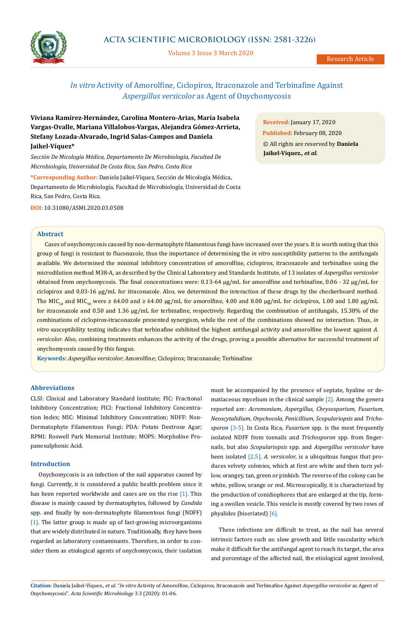

Volume 3 Issue 3 March 2020

Research Article

# *In vitro* Activity of Amorolfine, Ciclopirox, Itraconazole and Terbinafine Against *Aspergillus versicolor* as Agent of Onychomycosis

**Viviana Ramírez-Hernández, Carolina Montero-Arias, María Isabela Vargas-Ovalle, Mariana Villalobos-Vargas, Alejandra Gómez-Arrieta, Stefany Lozada-Alvarado, Ingrid Salas-Campos and Daniela Jaikel-Víquez\***

*Sección De Micología Médica, Departamento De Microbiología, Facultad De Microbiología, Universidad De Costa Rica, San Pedro, Costa Rica*

**\*Corresponding Author:** Daniela Jaikel-Víquez, Sección de Micología Médica, Departamento de Microbiología, Facultad de Microbiología, Universidad de Costa Rica, San Pedro, Costa Rica.

**DOI:** [10.31080/ASMI.2020.03.0508](https://actascientific.com/ASMI/pdf/ASMI-03-0508.pdf)

# **Abstract**

Cases of onychomycosis caused by non-dermatophyte filamentous fungi have increased over the years. It is worth noting that this group of fungi is resistant to fluconazole, thus the importance of determining the *in vitro* susceptibility patterns to the antifungals available. We determined the minimal inhibitory concentration of amorolfine, ciclopirox, itraconazole and terbinafine using the microdilution method M38-A, as described by the Clinical Laboratory and Standards Institute, of 13 isolates of *Aspergillus versicolor*  obtained from onychomycosis. The final concentrations were: 0.13-64 μg/mL for amorolfine and terbinafine, 0.06 - 32 μg/mL for ciclopirox and 0.03-16 μg/mL for itraconazole. Also, we determined the interaction of these drugs by the checkerboard method. The MIC<sub>50</sub> and MIC<sub>90</sub> were ≥ 64.00 and ≥ 64.00 µg/mL for amorolfine, 4.00 and 8.00 µg/mL for ciclopirox, 1.00 and 1.80 µg/mL for itraconazole and 0.50 and 1.36 µg/mL for terbinafine, respectively. Regarding the combination of antifungals, 15.38% of the combinations of ciclopirox-itraconazole presented synergism, while the rest of the combinations showed no interaction. Thus, *in vitro* susceptibility testing indicates that terbinafine exhibited the highest antifungal activity and amorolfine the lowest against *A. versicolor*. Also, combining treatments enhances the activity of the drugs, proving a possible alternative for successful treatment of onychomycosis caused by this fungus.

**Keywords:** *Aspergillus versicolor*; Amorolfine; Ciclopirox; Itraconazole; Terbinafine

# **Abbreviations**

CLSI: Clinical and Laboratory Standard Institute; FIC: Fractional Inhibitory Concentration; FICI: Fractional Inhibitory Concentration Index; MIC: Minimal Inhibitory Concentration; NDFF: Non-Dermatophyte Filamentous Fungi; PDA: Potato Dextrose Agar; RPMI: Roswell Park Memorial Institute; MOPS: Morpholine Propanesulphonic Acid.

# **Introduction**

Onychomycosis is an infection of the nail apparatus caused by fungi. Currently, it is considered a public health problem since it has been reported worldwide and cases are on the rise [1]. This disease is mainly caused by dermatophytes, followed by *Candida* spp. and finally by non-dermatophyte filamentous fungi (NDFF) [1]. The latter group is made up of fast-growing microorganisms that are widely distributed in nature. Traditionally, they have been regarded as laboratory contaminants. Therefore, in order to consider them as etiological agents of onychomycosis, their isolation must be accompanied by the presence of septate, hyaline or dematiaceous mycelium in the clinical sample [2]. Among the genera reported are: *Acremonium, Aspergillus, Chrysosporium, Fusarium, Neoscytalidium, Onychocola, Penicillium, Scopulariopsis* and *Trichosporon* [3-5]. In Costa Rica, *Fusarium* spp. is the most frequently isolated NDFF from toenails and *Trichosporon* spp. from fingernails, but also *Scopulariopsis* spp. and *Aspergillus versicolor* have been isolated [2,5]. *A. versicolor*, is a ubiquitous fungus that produces velvety colonies, which at first are white and then turn yellow, orangey, tan, green or pinkish. The reverse of the colony can be white, yellow, orange or red. Microscopically, it is characterized by the production of conidiophores that are enlarged at the tip, forming a swollen vesicle. This vesicle is mostly covered by two rows of phyalides (biseriated) [6].

These infections are difficult to treat, as the nail has several intrinsic factors such as: slow growth and little vascularity which make it difficult for the antifungal agent to reach its target, the area and percentage of the affected nail, the etiological agent involved,

**Citation:** Daniela Jaikel-Víquez*., et al.* "*In vitro* Activity of Amorolfine, Ciclopirox, Itraconazole and Terbinafine Against *Aspergillus versicolor* as Agent of Onychomycosis". *Acta Scientific Microbiology* 3.3 (2020): 01-06.

**Received:** January 17, 2020 **Published:** February 08, 2020 © All rights are reserved by **Daniela Jaikel-Víquez***., et al.*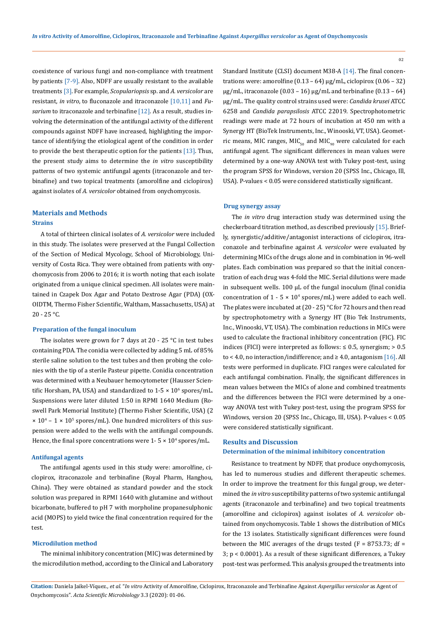coexistence of various fungi and non-compliance with treatment by patients [7-9]. Also, NDFF are usually resistant to the available treatments [3]. For example, *Scopulariopsis* sp. and *A. versicolor* are resistant, *in vitro*, to fluconazole and itraconazole [10,11] and *Fusarium* to itraconazole and terbinafine [12]. As a result, studies involving the determination of the antifungal activity of the different compounds against NDFF have increased, highlighting the importance of identifying the etiological agent of the condition in order to provide the best therapeutic option for the patients [13]. Thus, the present study aims to determine the *in vitro* susceptibility patterns of two systemic antifungal agents (itraconazole and terbinafine) and two topical treatments (amorolfine and ciclopirox) against isolates of *A. versicolor* obtained from onychomycosis.

# **Strains Materials and Methods**

A total of thirteen clinical isolates of *A. versicolor* were included in this study. The isolates were preserved at the Fungal Collection of the Section of Medical Mycology, School of Microbiology, University of Costa Rica. They were obtained from patients with onychomycosis from 2006 to 2016; it is worth noting that each isolate originated from a unique clinical specimen. All isolates were maintained in Czapek Dox Agar and Potato Dextrose Agar (PDA) (OX-OIDTM, Thermo Fisher Scientific, Waltham, Massachusetts, USA) at 20 - 25 °C.

#### **Preparation of the fungal inoculum**

The isolates were grown for 7 days at 20 - 25  $^{\circ}$ C in test tubes containing PDA. The conidia were collected by adding 5 mL of 85% sterile saline solution to the test tubes and then probing the colonies with the tip of a sterile Pasteur pipette. Conidia concentration was determined with a Neubauer hemocytometer (Hausser Scientific Horsham, PA, USA) and standardized to  $1\n-5 \times 10^6$  spores/mL. Suspensions were later diluted 1:50 in RPMI 1640 Medium (Roswell Park Memorial Institute) (Thermo Fisher Scientific, USA) (2  $\times$  10<sup>4</sup> – 1  $\times$  10<sup>5</sup> spores/mL). One hundred microliters of this suspension were added to the wells with the antifungal compounds. Hence, the final spore concentrations were  $1-5 \times 10^4$  spores/mL.

### **Antifungal agents**

The antifungal agents used in this study were: amorolfine, ciclopirox, itraconazole and terbinafine (Royal Pharm, Hanghou, China). They were obtained as standard powder and the stock solution was prepared in RPMI 1640 with glutamine and without bicarbonate, buffered to pH 7 with morpholine propanesulphonic acid (MOPS) to yield twice the final concentration required for the test.

### **Microdilution method**

The minimal inhibitory concentration (MIC) was determined by the microdilution method, according to the Clinical and Laboratory Standard Institute (CLSI) document M38-A [14]. The final concentrations were: amorolfine  $(0.13 - 64)$  μg/mL, ciclopirox  $(0.06 - 32)$ μg/mL, itraconazole (0.03 – 16) μg/mL and terbinafine (0.13 – 64) μg/mL. The quality control strains used were: *Candida krusei* ATCC 6258 and *Candida parapsilosis* ATCC 22019. Spectrophotometric readings were made at 72 hours of incubation at 450 nm with a Synergy HT (BioTek Instruments, Inc., Winooski, VT, USA). Geometric means, MIC ranges, MIC<sub>50</sub> and MIC<sub>90</sub> were calculated for each antifungal agent. The significant differences in mean values were determined by a one-way ANOVA test with Tukey post-test, using the program SPSS for Windows, version 20 (SPSS Inc., Chicago, Ill, USA). P-values < 0.05 were considered statistically significant.

#### **Drug synergy assay**

The *in vitro* drug interaction study was determined using the checkerboard titration method, as described previously [15]. Briefly, synergistic/additive/antagonist interactions of ciclopirox, itraconazole and terbinafine against *A. versicolor* were evaluated by determining MICs of the drugs alone and in combination in 96-well plates. Each combination was prepared so that the initial concentration of each drug was 4-fold the MIC. Serial dilutions were made in subsequent wells. 100 µL of the fungal inoculum (final conidia concentration of  $1 - 5 \times 10^4$  spores/mL) were added to each well. The plates were incubated at (20 - 25) °C for 72 hours and then read by spectrophotometry with a Synergy HT (Bio Tek Instruments, Inc., Winooski, VT, USA). The combination reductions in MICs were used to calculate the fractional inhibitory concentration (FIC). FIC indices (FICI) were interpreted as follows:  $\leq 0.5$ , synergism;  $> 0.5$ to < 4.0, no interaction/indifference; and  $\geq 4.0$ , antagonism [16]. All tests were performed in duplicate. FICI ranges were calculated for each antifungal combination. Finally, the significant differences in mean values between the MICs of alone and combined treatments and the differences between the FICI were determined by a oneway ANOVA test with Tukey post-test, using the program SPSS for Windows, version 20 (SPSS Inc., Chicago, Ill, USA). P-values < 0.05 were considered statistically significant.

# **Results and Discussion Determination of the minimal inhibitory concentration**

Resistance to treatment by NDFF, that produce onychomycosis, has led to numerous studies and different therapeutic schemes. In order to improve the treatment for this fungal group, we determined the *in vitro* susceptibility patterns of two systemic antifungal agents (itraconazole and terbinafine) and two topical treatments (amorolfine and ciclopirox) against isolates of *A. versicolor* obtained from onychomycosis. Table 1 shows the distribution of MICs for the 13 isolates. Statistically significant differences were found between the MIC averages of the drugs tested ( $F = 8753.73$ ; df = 3; p < 0.0001). As a result of these significant differences, a Tukey post-test was performed. This analysis grouped the treatments into

**Citation:** Daniela Jaikel-Víquez*., et al.* "*In vitro* Activity of Amorolfine, Ciclopirox, Itraconazole and Terbinafine Against *Aspergillus versicolor* as Agent of Onychomycosis". *Acta Scientific Microbiology* 3.3 (2020): 01-06.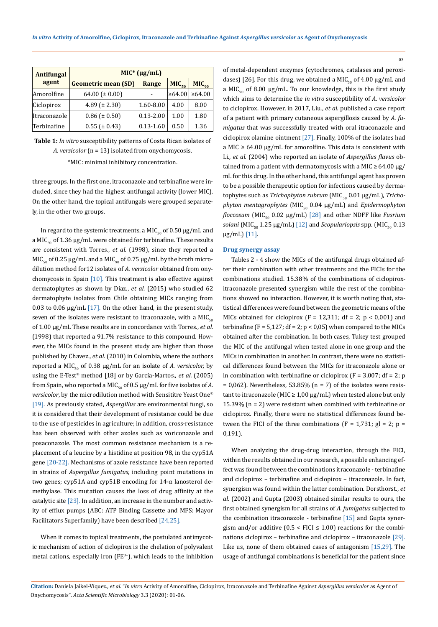| <b>Antifungal</b> | $MIC^{*} (\mu g/mL)$       |               |                   |                   |  |  |  |  |
|-------------------|----------------------------|---------------|-------------------|-------------------|--|--|--|--|
| agent             | <b>Geometric mean (SD)</b> | Range         | MIC <sub>50</sub> | MIC <sub>90</sub> |  |  |  |  |
| Amorolfine        | 64.00 ( $\pm$ 0.00)        |               | $\geq 64.00$      | $\geq 64.00$      |  |  |  |  |
| Ciclopirox        | 4.89 ( $\pm$ 2.30)         | 1.60-8.00     | 4.00              | 8.00              |  |  |  |  |
| Itraconazole      | $0.86 (\pm 0.50)$          | $0.13 - 2.00$ | 1.00              | 1.80              |  |  |  |  |
| Terbinafine       | $0.55$ ( $\pm$ 0.43)       | $0.13 - 1.60$ | 0.50              | 1.36              |  |  |  |  |

**Table 1:** *In vitro* susceptibility patterns of Costa Rican isolates of *A. versicolor* (n = 13) isolated from onychomycosis.

\*MIC: minimal inhibitory concentration.

three groups. In the first one, itraconazole and terbinafine were included, since they had the highest antifungal activity (lower MIC). On the other hand, the topical antifungals were grouped separately, in the other two groups.

In regard to the systemic treatments, a MIC<sub>50</sub> of 0.50  $\mu$ g/mL and a MIC<sub>00</sub> of 1.36  $\mu$ g/mL were obtained for terbinafine. These results are consistent with Torres., *et al.* (1998), since they reported a  $MIC_{50}$  of 0.25 µg/mL and a MIC<sub>90</sub> of 0.75 µg/mL by the broth microdilution method for12 isolates of *A. versicolor* obtained from onychomycosis in Spain  $[10]$ . This treatment is also effective against dermatophytes as shown by Díaz., *et al.* (2015) who studied 62 dermatophyte isolates from Chile obtaining MICs ranging from 0.03 to 0.06 µg/mL [17]. On the other hand, in the present study, seven of the isolates were resistant to itraconazole, with a  $MIC<sub>co</sub>$ of 1.00 µg/mL These results are in concordance with Torres., *et al.* (1998) that reported a 91.7% resistance to this compound. However, the MICs found in the present study are higher than those published by Chavez., *et al.* (2010) in Colombia, where the authors reported a MIC<sub>50</sub> of 0.38  $\mu$ g/mL for an isolate of *A. versicolor*, by using the E-Test® method [18] or by García-Martos., *et al.* (2005) from Spain, who reported a MIC<sub>50</sub> of 0.5  $\mu$ g/mL for five isolates of *A*. *versicolor*, by the microdilution method with Sensititre Yeast One® [19]. As previously stated, *Aspergillus* are environmental fungi, so it is considered that their development of resistance could be due to the use of pesticides in agriculture; in addition, cross-resistance has been observed with other azoles such as voriconazole and posaconazole. The most common resistance mechanism is a replacement of a leucine by a histidine at position 98, in the cyp51A gene [20-22]. Mechanisms of azole resistance have been reported in strains of *Aspergillus fumigatus*, including point mutations in two genes; cyp51A and cyp51B encoding for 14-α lanosterol demethylase. This mutation causes the loss of drug affinity at the catalytic site  $[23]$ . In addition, an increase in the number and activity of efflux pumps (ABC: ATP Binding Cassette and MFS: Mayor Facilitators Superfamily) have been described [24,25].

When it comes to topical treatments, the postulated antimycotic mechanism of action of ciclopirox is the chelation of polyvalent metal cations, especially iron ( $FE^{3+}$ ), which leads to the inhibition

of metal-dependent enzymes (cytochromes, catalases and peroxidases) [26]. For this drug, we obtained a MIC<sub>50</sub> of 4.00  $\mu$ g/mL and a MIC<sub>90</sub> of 8.00 µg/mL. To our knowledge, this is the first study which aims to determine the *in vitro* susceptibility of *A. versicolor* to ciclopirox. However, in 2017, Liu., *et al.* published a case report of a patient with primary cutaneous aspergillosis caused by *A. fumigatus* that was successfully treated with oral itraconazole and ciclopirox olamine ointment [27]. Finally, 100% of the isolates had a MIC  $\geq$  64.00 µg/mL for amorolfine. This data is consistent with Li., *et al.* (2004) who reported an isolate of *Aspergillus flavus* obtained from a patient with dermatomycosis with a MIC  $\geq$  64.00 µg/ mL for this drug. In the other hand, this antifungal agent has proven to be a possible therapeutic option for infections caused by dermatophytes such as *Trichophyton rubrum* (MIC<sub>50</sub> 0.01 μg/mL), *Trichophyton mentagrophytes* (MIC<sub>50</sub> 0.04 μg/mL) and *Epidermophyton floccosum* (MIC<sub>50</sub> 0.02 µg/mL) [28] and other NDFF like *Fusrium solani* (MIC<sub>50</sub> 1.25  $\mu$ g/mL) [12] and *Scopulariopsis* spp. (MIC<sub>50</sub> 0.13 µg/mL) [11].

03

#### **Drug synergy assay**

Tables 2 - 4 show the MICs of the antifungal drugs obtained after their combination with other treatments and the FICIs for the combinations studied. 15.38% of the combinations of ciclopiroxitraconazole presented synergism while the rest of the combinations showed no interaction. However, it is worth noting that, statistical differences were found between the geometric means of the MICs obtained for ciclopirox (F = 12,311; df = 2;  $p < 0.001$ ) and terbinafine ( $F = 5,127$ ; df = 2;  $p < 0,05$ ) when compared to the MICs obtained after the combination. In both cases, Tukey test grouped the MIC of the antifungal when tested alone in one group and the MICs in combination in another. In contrast, there were no statistical differences found between the MICs for itraconazole alone or in combination with terbinafine or ciclopirox ( $F = 3,007$ ; df = 2; p  $= 0.062$ ). Nevertheless, 53.85% (n = 7) of the isolates were resistant to itraconazole (MIC  $\geq 1,00 \mu g/mL$ ) when tested alone but only 15.39% (n = 2) were resistant when combined with terbinafine or ciclopirox. Finally, there were no statistical differences found between the FICI of the three combinations (F = 1,731; gl = 2; p = 0,191).

When analyzing the drug-drug interaction, through the FICI, within the results obtained in our research, a possible enhancing effect was found between the combinations itraconazole - terbinafine and ciclopirox – terbinafine and ciclopirox – itraconazole. In fact, synergism was found within the latter combination. Dorsthorst., *et al.* (2002) and Gupta (2003) obtained similar results to ours, the first obtained synergism for all strains of *A. fumigatus* subjected to the combination itraconazole - terbinafine [15] and Gupta synergism and/or additive  $(0.5 < FICI \le 1.00)$  reactions for the combinations ciclopirox – terbinafine and ciclopirox – itraconazole [29]. Like us, none of them obtained cases of antagonism [15,29]. The usage of antifungal combinations is beneficial for the patient since

**Citation:** Daniela Jaikel-Víquez*., et al.* "*In vitro* Activity of Amorolfine, Ciclopirox, Itraconazole and Terbinafine Against *Aspergillus versicolor* as Agent of Onychomycosis". *Acta Scientific Microbiology* 3.3 (2020): 01-06.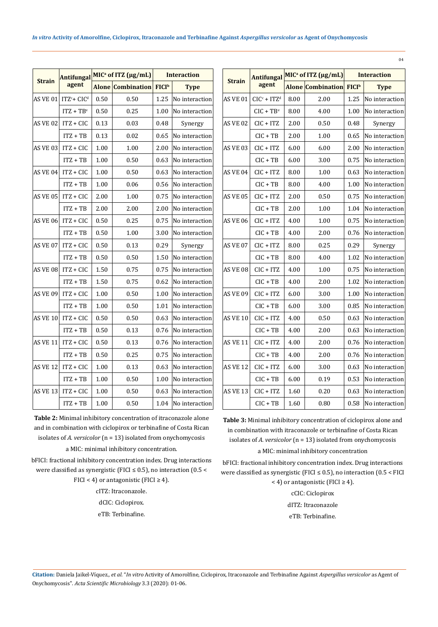| <b>Strain</b>   | <b>Antifungal</b><br>agent | MIC <sup>a</sup> of ITZ ( $\mu$ g/mL) |                                     | <b>Interaction</b> |                |                 | <b>Antifunga</b> |
|-----------------|----------------------------|---------------------------------------|-------------------------------------|--------------------|----------------|-----------------|------------------|
|                 |                            |                                       | Alone Combination FICI <sup>b</sup> |                    | <b>Type</b>    | <b>Strain</b>   | agent            |
|                 | AS VE 01 $ITZc + CICd$     | 0.50                                  | 0.50                                | 1.25               | No interaction | AS VE 01        | $CICc + ITZ$     |
|                 | $ITZ + TBe$                | 0.50                                  | 0.25                                | 1.00               | No interaction |                 | $CIC + TB$       |
| <b>AS VE 02</b> | $ITZ + CIC$                | 0.13                                  | 0.03                                | 0.48               | Synergy        | AS VE 02        | $CIC + ITZ$      |
|                 | $ITZ + TB$                 | 0.13                                  | 0.02                                | 0.65               | No interaction |                 | $CIC + TB$       |
| AS VE 03        | $ITZ + CIC$                | 1.00                                  | 1.00                                | 2.00               | No interaction | AS VE 03        | $CIC + ITZ$      |
|                 | $ITZ + TB$                 | 1.00                                  | 0.50                                | 0.63               | No interaction |                 | $CIC + TB$       |
| AS VE 04        | $ITZ + CIC$                | 1.00                                  | 0.50                                | 0.63               | No interaction | AS VE 04        | $CIC + ITZ$      |
|                 | $ITZ + TB$                 | 1.00                                  | 0.06                                | 0.56               | No interaction |                 | $CIC + TB$       |
| <b>AS VE 05</b> | ITZ + CIC                  | 2.00                                  | 1.00                                | 0.75               | No interaction | <b>AS VE 05</b> | CIC + ITZ        |
|                 | $ITZ + TB$                 | 2.00                                  | 2.00                                | 2.00               | No interaction |                 | $CIC + TB$       |
| <b>AS VE 06</b> | $ITZ + CIC$                | 0.50                                  | 0.25                                | 0.75               | No interaction | <b>AS VE 06</b> | $CIC + ITZ$      |
|                 | $ITZ + TB$                 | 0.50                                  | 1.00                                | 3.00               | No interaction |                 | $CIC + TB$       |
| <b>AS VE 07</b> | $ITZ + CIC$                | 0.50                                  | 0.13                                | 0.29               | Synergy        | AS VE 07        | $CIC + ITZ$      |
|                 | $ITZ + TB$                 | 0.50                                  | 0.50                                | 1.50               | No interaction |                 | $CIC + TB$       |
| <b>AS VE 08</b> | $ITZ + CIC$                | 1.50                                  | 0.75                                | 0.75               | No interaction | AS VE 08        | $CIC + ITZ$      |
|                 | $ITZ + TB$                 | 1.50                                  | 0.75                                | 0.62               | No interaction |                 | $CIC + TB$       |
| <b>AS VE 09</b> | ITZ + CIC                  | 1.00                                  | 0.50                                | 1.00               | No interaction | AS VE 09        | CIC + ITZ        |
|                 | $ITZ + TB$                 | 1.00                                  | 0.50                                | 1.01               | No interaction |                 | $CIC + TB$       |
| <b>AS VE 10</b> | $ITZ + CIC$                | 0.50                                  | 0.50                                | 0.63               | No interaction | <b>AS VE 10</b> | CIC + ITZ        |
|                 | $ITZ + TB$                 | 0.50                                  | 0.13                                | 0.76               | No interaction |                 | $CIC + TB$       |
| <b>AS VE 11</b> | $ITZ + CIC$                | 0.50                                  | 0.13                                | 0.76               | No interaction | AS VE 11        | $CIC + ITZ$      |
|                 | $ITZ + TB$                 | 0.50                                  | 0.25                                | 0.75               | No interaction |                 | $CIC + TB$       |
| <b>AS VE 12</b> | $ITZ + CIC$                | 1.00                                  | 0.13                                | 0.63               | No interaction | AS VE 12        | $CIC + ITZ$      |
|                 | $ITZ + TB$                 | 1.00                                  | 0.50                                | 1.00               | No interaction |                 | $CIC + TB$       |
| <b>AS VE 13</b> | $ITZ + CIC$                | 1.00                                  | 0.50                                | 0.63               | No interaction | AS VE 13        | $CIC + ITZ$      |
|                 | $ITZ + TB$                 | 1.00                                  | 0.50                                | 1.04               | No interaction |                 | $CIC + TB$       |

**Table 2:** Minimal inhibitory concentration of itraconazole alone and in combination with ciclopirox or terbinafine of Costa Rican isolates of *A. versicolor* (n = 13) isolated from onychomycosis

a MIC: minimal inhibitory concentration.

bFICI: fractional inhibitory concentration index. Drug interactions were classified as synergistic (FICI  $\leq$  0.5), no interaction (0.5 < FICI < 4) or antagonistic (FICI  $\geq$  4).

cITZ: Itraconazole.

dCIC: Ciclopirox.

eTB: Terbinafine.

| <b>Strain</b>   | <b>Antifungal</b> |      | $MICa$ of ITZ ( $\mu g/mL$ ) | <b>Interaction</b> |                |  |
|-----------------|-------------------|------|------------------------------|--------------------|----------------|--|
|                 | agent             |      | <b>Alone Combination</b>     | FICI <sup>b</sup>  | <b>Type</b>    |  |
| <b>AS VE 01</b> | $CICc + ITZd$     | 8.00 | 2.00                         | 1.25               | No interaction |  |
|                 | $CIC + TBe$       | 8.00 | 4.00                         | 1.00               | No interaction |  |
| AS VE 02        | CIC + ITZ         | 2.00 | 0.50                         | 0.48               | Synergy        |  |
|                 | $CIC + TB$        | 2.00 | 1.00                         | 0.65               | No interaction |  |
| <b>AS VE 03</b> | CIC + ITZ         | 6.00 | 6.00                         | 2.00               | No interaction |  |
|                 | $CIC + TB$        | 6.00 | 3.00                         | 0.75               | No interaction |  |
| AS VE 04        | $CIC + ITZ$       | 8.00 | 1.00                         | 0.63               | No interaction |  |
|                 | $CIC + TB$        | 8.00 | 4.00                         | 1.00               | No interaction |  |
| <b>AS VE 05</b> | CIC + ITZ         | 2.00 | 0.50                         | 0.75               | No interaction |  |
|                 | $CIC + TB$        | 2.00 | 1.00                         | 1.04               | No interaction |  |
| <b>AS VE 06</b> | $CIC + ITZ$       | 4.00 | 1.00                         | 0.75               | No interaction |  |
|                 | $CIC + TB$        | 4.00 | 2.00                         | 0.76               | No interaction |  |
| AS VE 07        | $CIC + ITZ$       | 8.00 | 0.25                         | 0.29               | Synergy        |  |
|                 | $CIC + TB$        | 8.00 | 4.00                         | 1.02               | No interaction |  |
| AS VE 08        | $CIC + ITZ$       | 4.00 | 1.00                         | 0.75               | No interaction |  |
|                 | $CIC + TB$        | 4.00 | 2.00                         | 1.02               | No interaction |  |
| AS VE 09        | CIC + ITZ         | 6.00 | 3.00                         | 1.00               | No interaction |  |
|                 | $CIC + TB$        | 6.00 | 3.00                         | 0.85               | No interaction |  |
| AS VE 10        | $CIC + ITZ$       | 4.00 | 0.50                         | 0.63               | No interaction |  |
|                 | $CIC + TB$        | 4.00 | 2.00                         | 0.63               | No interaction |  |
| <b>AS VE 11</b> | $CIC + ITZ$       | 4.00 | 2.00                         | 0.76               | No interaction |  |
|                 | CIC + TB          | 4.00 | 2.00                         | 0.76               | No interaction |  |
| AS VE 12        | CIC + ITZ         | 6.00 | 3.00                         | 0.63               | No interaction |  |
|                 | $CIC + TB$        | 6.00 | 0.19                         | 0.53               | No interaction |  |
| <b>AS VE 13</b> | CIC + ITZ         | 1.60 | 0.20                         | 0.63               | No interaction |  |
|                 | $CIC + TB$        | 1.60 | 0.80                         | 0.58               | No interaction |  |

**Table 3:** Minimal inhibitory concentration of ciclopirox alone and in combination with itraconazole or terbinafine of Costa Rican isolates of *A. versicolor* (n = 13) isolated from onychomycosis

a MIC: minimal inhibitory concentration

bFICI: fractional inhibitory concentration index. Drug interactions were classified as synergistic (FICI  $\leq$  0.5), no interaction (0.5 < FICI < 4) or antagonistic (FICI  $\geq$  4).

> cCIC: Ciclopirox dITZ: Itraconazole eTB: Terbinafine.

**Citation:** Daniela Jaikel-Víquez*., et al.* "*In vitro* Activity of Amorolfine, Ciclopirox, Itraconazole and Terbinafine Against *Aspergillus versicolor* as Agent of Onychomycosis". *Acta Scientific Microbiology* 3.3 (2020): 01-06.

04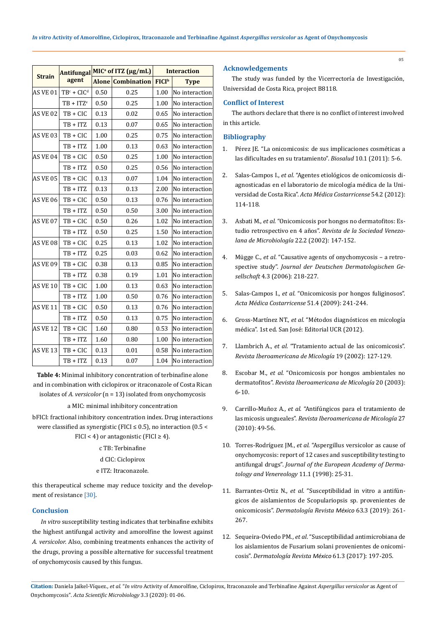|                 | <b>Antifungal</b> |                          | MIC <sup>a</sup> of ITZ (µg/mL) | <b>Interaction</b>       |                |  |
|-----------------|-------------------|--------------------------|---------------------------------|--------------------------|----------------|--|
| <b>Strain</b>   | agent             | <b>Alone Combination</b> |                                 | <b>FICI</b> <sup>b</sup> | <b>Type</b>    |  |
| <b>AS VE 01</b> | $TBc + CICd$      | 0.50                     | 0.25                            | 1.00                     | No interaction |  |
|                 | $TB + ITZe$       | 0.50                     | 0.25                            | 1.00                     | No interaction |  |
| AS VE 02        | $TB + CIC$        | 0.13                     | 0.02                            | 0.65                     | No interaction |  |
|                 | $TB + ITZ$        | 0.13                     | 0.07                            | 0.65                     | No interaction |  |
| <b>AS VE 03</b> | $TB + CIC$        | 1.00                     | 0.25                            | 0.75                     | No interaction |  |
|                 | $TB + ITZ$        | 1.00                     | 0.13                            | 0.63                     | No interaction |  |
| AS VE 04        | $TB + CIC$        | 0.50                     | 0.25                            | 1.00                     | No interaction |  |
|                 | $TB + ITZ$        | 0.50                     | 0.25                            | 0.56                     | No interaction |  |
| <b>AS VE 05</b> | $TB + CIC$        | 0.13                     | 0.07                            | 1.04                     | No interaction |  |
|                 | $TB + ITZ$        | 0.13                     | 0.13                            | 2.00                     | No interaction |  |
| <b>AS VE 06</b> | $TB + CIC$        | 0.50                     | 0.13                            | 0.76                     | No interaction |  |
|                 | $TB + ITZ$        | 0.50                     | 0.50                            | 3.00                     | No interaction |  |
| <b>AS VE 07</b> | TB + CIC          | 0.50                     | 0.26                            | 1.02                     | No interaction |  |
|                 | $TB + ITZ$        | 0.50                     | 0.25                            | 1.50                     | No interaction |  |
| <b>AS VE 08</b> | $TB + CIC$        | 0.25                     | 0.13                            | 1.02                     | No interaction |  |
|                 | TB + ITZ          | 0.25                     | 0.03                            | 0.62                     | No interaction |  |
| AS VE 09        | TB + CIC          | 0.38                     | 0.13                            | 0.85                     | No interaction |  |
|                 | $TB + ITZ$        | 0.38                     | 0.19                            | 1.01                     | No interaction |  |
| <b>AS VE 10</b> | $TB + CIC$        | 1.00                     | 0.13                            | 0.63                     | No interaction |  |
|                 | $TB + ITZ$        | 1.00                     | 0.50                            | 0.76                     | No interaction |  |
| <b>AS VE 11</b> | TB + CIC          | 0.50                     | 0.13                            | 0.76                     | No interaction |  |
|                 | $TB + ITZ$        | 0.50                     | 0.13                            | 0.75                     | No interaction |  |
| <b>AS VE 12</b> | $TB + CIC$        | 1.60                     | 0.80                            | 0.53                     | No interaction |  |
|                 | $TB + ITZ$        | 1.60                     | 0.80                            | 1.00                     | No interaction |  |
| <b>AS VE 13</b> | TB + CIC          | 0.13                     | 0.01                            | 0.58                     | No interaction |  |
|                 | $TB + ITZ$        | 0.13                     | 0.07                            | 1.04                     | No interaction |  |

**Table 4:** Minimal inhibitory concentration of terbinafine alone and in combination with ciclopirox or itraconazole of Costa Rican isolates of *A. versicolor* (n = 13) isolated from onychomycosis

a MIC: minimal inhibitory concentration

bFICI: fractional inhibitory concentration index. Drug interactions were classified as synergistic (FICI  $\leq$  0.5), no interaction (0.5  $<$ FICI < 4) or antagonistic (FICI  $\geq$  4).

c TB: Terbinafine

d CIC: Ciclopirox

e ITZ: Itraconazole.

this therapeutical scheme may reduce toxicity and the development of resistance [30].

# **Conclusion**

*In vitro* susceptibility testing indicates that terbinafine exhibits the highest antifungal activity and amorolfine the lowest against *A. versicolor.* Also, combining treatments enhances the activity of the drugs, proving a possible alternative for successful treatment of onychomycosis caused by this fungus.

### **Acknowledgements**

The study was funded by the Vicerrectoría de Investigación, Universidad de Costa Rica, project B8118.

# **Conflict of Interest**

The authors declare that there is no conflict of interest involved in this article.

### **Bibliography**

- 1. [Pérez JE. "La onicomicosis: de sus implicaciones cosméticas a](http://www.scielo.org.co/scielo.php?script=sci_arttext&pid=S1657-95502011000100001)  [las dificultades en su tratamiento".](http://www.scielo.org.co/scielo.php?script=sci_arttext&pid=S1657-95502011000100001) *Biosalud* 10.1 (2011): 5-6.
- 2. Salas-Campos I., *et al*[. "Agentes etiológicos de onicomicosis di](https://www.scielo.sa.cr/scielo.php?script=sci_arttext&pid=S0001-60022012000200008)[agnosticadas en el laboratorio de micología médica de la Uni](https://www.scielo.sa.cr/scielo.php?script=sci_arttext&pid=S0001-60022012000200008)versidad de Costa Rica". *[Acta Médica Costarricense](https://www.scielo.sa.cr/scielo.php?script=sci_arttext&pid=S0001-60022012000200008)* 54.2 (2012): [114-118.](https://www.scielo.sa.cr/scielo.php?script=sci_arttext&pid=S0001-60022012000200008)
- 3. Asbati M., *et al*[. "Onicomicosis por hongos no dermatofitos: Es](http://ve.scielo.org/scielo.php?script=sci_arttext&pid=S1315-25562002000200011)tudio retrospectivo en 4 años". *[Revista de la Sociedad Venezo](http://ve.scielo.org/scielo.php?script=sci_arttext&pid=S1315-25562002000200011)[lana de Microbiología](http://ve.scielo.org/scielo.php?script=sci_arttext&pid=S1315-25562002000200011)* 22.2 (2002): 147-152.
- 4. Mügge C., *et al*[. "Causative agents of onychomycosis a retro](https://www.researchgate.net/publication/7154825_Causative_agents_of_onychomycosis_-_A_retrospective_study)spective study". *[Journal der Deutschen](https://www.researchgate.net/publication/7154825_Causative_agents_of_onychomycosis_-_A_retrospective_study) Dermatologischen Gesellschaft* [4.3 \(2006\): 218-227.](https://www.researchgate.net/publication/7154825_Causative_agents_of_onychomycosis_-_A_retrospective_study)
- 5. Salas-Campos I., *et al*[. "Onicomicosis por hongos fuliginosos".](https://www.scielo.sa.cr/scielo.php?script=sci_arttext&pid=S0001-60022009000400010)  *[Acta Médica Costarricense](https://www.scielo.sa.cr/scielo.php?script=sci_arttext&pid=S0001-60022009000400010)* 51.4 (2009): 241-244.
- 6. Gross-Martínez NT., *et al*. "Métodos diagnósticos en micología médica". 1st ed. San José: Editorial UCR (2012).
- 7. Llambrich A., *et al*[. "Tratamiento actual de las onicomicosis".](http://www.reviberoammicol.com/2002-19/127129.pdf)  *[Revista Iberoamericana de Micología](http://www.reviberoammicol.com/2002-19/127129.pdf)* 19 (2002): 127-129.
- 8. Escobar M., *et al*[. "Onicomicosis por hongos ambientales no](http://www.reviberoammicol.com/2003-20/006010.pdf)  dermatofitos". *[Revista Iberoamericana de Micología](http://www.reviberoammicol.com/2003-20/006010.pdf)* 20 (2003): [6-10.](http://www.reviberoammicol.com/2003-20/006010.pdf)
- 9. Carrillo-Muñoz A., *et al*[. "Antifúngicos para el tratamiento de](http://www.reviberoammicol.com/2010-27/049056.pdf)  las micosis ungueales". *[Revista Iberoamericana de Micología](http://www.reviberoammicol.com/2010-27/049056.pdf)* 27 [\(2010\): 49-56.](http://www.reviberoammicol.com/2010-27/049056.pdf)
- 10. Torres-Rodríguez JM., *et al*[. "Aspergillus versicolor as cause of](https://onlinelibrary.wiley.com/doi/abs/10.1111/j.1468-3083.1998.tb00949.x)  [onychomycosis: report of 12 cases and susceptibility testing to](https://onlinelibrary.wiley.com/doi/abs/10.1111/j.1468-3083.1998.tb00949.x)  antifungal drugs". *[Journal of the European Academy of Derma](https://onlinelibrary.wiley.com/doi/abs/10.1111/j.1468-3083.1998.tb00949.x)[tology and Venereology](https://onlinelibrary.wiley.com/doi/abs/10.1111/j.1468-3083.1998.tb00949.x)* 11.1 (1998): 25-31.
- 11. Barrantes-Ortiz N., *et al*[. "Susceptibilidad in vitro a antifún](https://dermatologiarevistamexicana.org.mx/article/susceptibilidad-in-vitro-a-antifungicos-de-aislamientos-de-scopulariopsis-sp-provenientes-de-onicomicosis/)[gicos de aislamientos de Scopulariopsis sp. provenientes de](https://dermatologiarevistamexicana.org.mx/article/susceptibilidad-in-vitro-a-antifungicos-de-aislamientos-de-scopulariopsis-sp-provenientes-de-onicomicosis/)  onicomicosis". *[Dermatología Revista](https://dermatologiarevistamexicana.org.mx/article/susceptibilidad-in-vitro-a-antifungicos-de-aislamientos-de-scopulariopsis-sp-provenientes-de-onicomicosis/) México* 63.3 (2019): 261- [267.](https://dermatologiarevistamexicana.org.mx/article/susceptibilidad-in-vitro-a-antifungicos-de-aislamientos-de-scopulariopsis-sp-provenientes-de-onicomicosis/)
- 12. Sequeira-Oviedo PM., *et al*[. "Susceptibilidad antimicrobiana de](https://www.researchgate.net/publication/330290147_Susceptibilidad_antimicrobiana_de_los_aislamientos_de_Fusarium_solani_provenientes_de_onicomicosis)  [los aislamientos de Fusarium solani provenientes de onicomi](https://www.researchgate.net/publication/330290147_Susceptibilidad_antimicrobiana_de_los_aislamientos_de_Fusarium_solani_provenientes_de_onicomicosis)cosis". *[Dermatología Revista](https://www.researchgate.net/publication/330290147_Susceptibilidad_antimicrobiana_de_los_aislamientos_de_Fusarium_solani_provenientes_de_onicomicosis) México* 61.3 (2017): 197-205.

**Citation:** Daniela Jaikel-Víquez*., et al.* "*In vitro* Activity of Amorolfine, Ciclopirox, Itraconazole and Terbinafine Against *Aspergillus versicolor* as Agent of Onychomycosis". *Acta Scientific Microbiology* 3.3 (2020): 01-06.

05